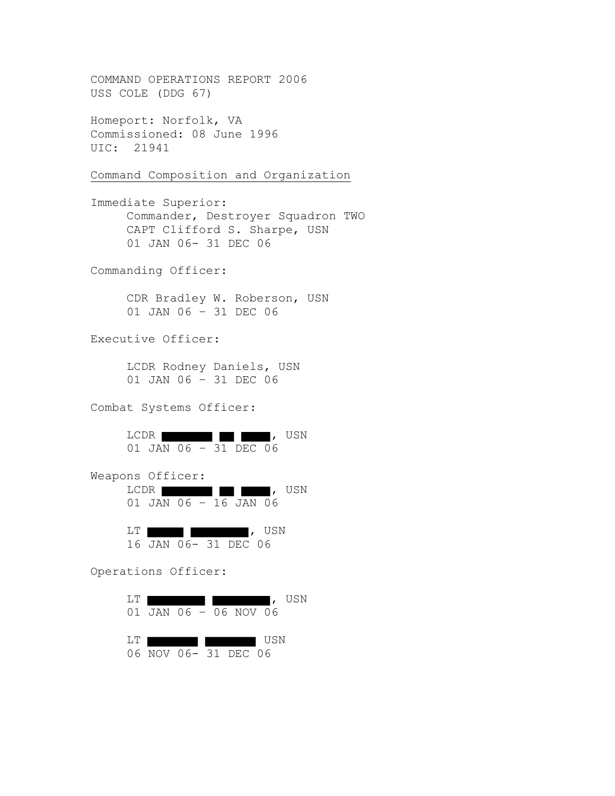COMMAND OPERATIONS REPORT 2006 USS COLE (DDG 67) Homeport: Norfolk, VA Commissioned: 08 June 1996 UIC: 21941 Command Composition and Organization Immediate Superior: Commander, Destroyer Squadron TWO CAPT Clifford S. Sharpe, USN 01 JAN 06- 31 DEC 06 Commanding Officer: CDR Bradley W. Roberson, USN 01 JAN 06 – 31 DEC 06 Executive Officer: LCDR Rodney Daniels, USN 01 JAN 06 – 31 DEC 06 Combat Systems Officer: LCDR , USN 01 JAN 06 – 31 DEC 06 Weapons Officer: LCDR **b**  $\blacksquare$ , USN 01 JAN 06 – 16 JAN 06 LT **the set of the set of the set of the set of the set of the set of the set of the set of the set of the set of the set of the set of the set of the set of the set of the set of the set of the set of the set of the set o** 16 JAN 06- 31 DEC 06 Operations Officer: LT , USN 01 JAN 06 – 06 NOV 06 LT USN 06 NOV 06- 31 DEC 06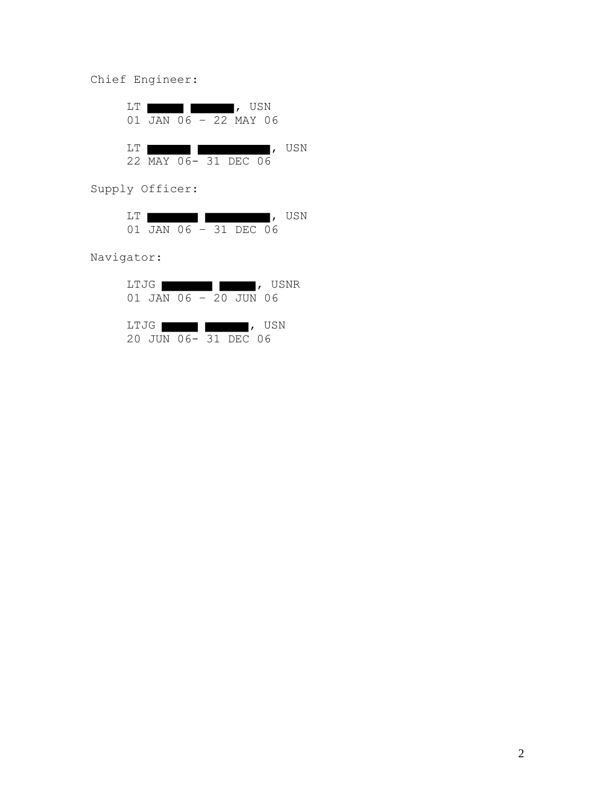Chief Engineer:

|        | $\sqrt{3}$ , USN<br>01 JAN 06 - 22 MAY 06 |  |  | LT. |  |
|--------|-------------------------------------------|--|--|-----|--|
| I, USN | 22 MAY 06- 31 DEC 06                      |  |  | T.T |  |

Supply Officer:

|                       |  |  | USN |
|-----------------------|--|--|-----|
| 01 JAN 06 - 31 DEC 06 |  |  |     |

Navigator:

| LTJG   |                       |                                      |  | USNR   |
|--------|-----------------------|--------------------------------------|--|--------|
|        | 01 JAN 06 - 20 JUN 06 |                                      |  |        |
|        |                       |                                      |  |        |
| LTJG I |                       | <u> and the second second second</u> |  | I, USN |
|        | 20 JUN 06- 31 DEC 06  |                                      |  |        |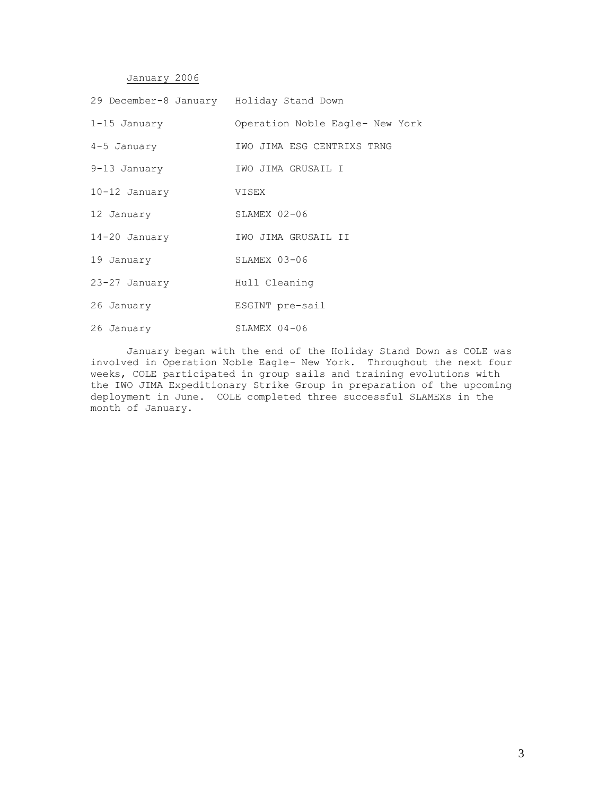## January 2006

| 29 December-8 January Holiday Stand Down |                                 |
|------------------------------------------|---------------------------------|
| $1-15$ January                           | Operation Noble Eagle- New York |
| $4-5$ January                            | IWO JIMA ESG CENTRIXS TRNG      |
| $9-13$ January                           | IWO JIMA GRUSAIL I              |
| 10-12 January                            | VISEX                           |
| 12 January                               | $SLAMEX 02-06$                  |
| $14 - 20$ January                        | IWO JIMA GRUSAIL II             |
| 19 January                               | $SLAMEX 03-06$                  |
| 23-27 January                            | Hull Cleaning                   |
| 26 January                               | ESGINT pre-sail                 |
| 26 January                               | $SLAMEX 04-06$                  |

January began with the end of the Holiday Stand Down as COLE was involved in Operation Noble Eagle- New York. Throughout the next four weeks, COLE participated in group sails and training evolutions with the IWO JIMA Expeditionary Strike Group in preparation of the upcoming deployment in June. COLE completed three successful SLAMEXs in the month of January.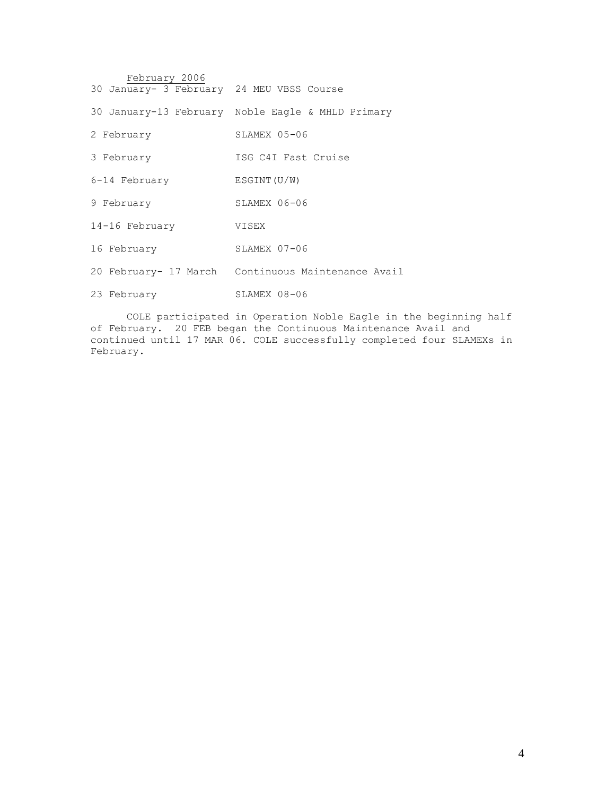| February 2006                             |                                                    |
|-------------------------------------------|----------------------------------------------------|
| 30 January- 3 February 24 MEU VBSS Course |                                                    |
|                                           | 30 January-13 February Noble Eagle & MHLD Primary  |
| 2 February                                | SLAMEX 05-06                                       |
| 3 February                                | ISG C4I Fast Cruise                                |
| 6-14 February                             | ESTNT(U/W)                                         |
| 9 February                                | $SLAMEX 06-06$                                     |
| 14-16 February                            | VISEX                                              |
| 16 February                               | SLAMEX 07-06                                       |
|                                           | 20 February- 17 March Continuous Maintenance Avail |
| 23 February                               | SLAMEX 08-06                                       |

COLE participated in Operation Noble Eagle in the beginning half of February. 20 FEB began the Continuous Maintenance Avail and continued until 17 MAR 06. COLE successfully completed four SLAMEXs in February.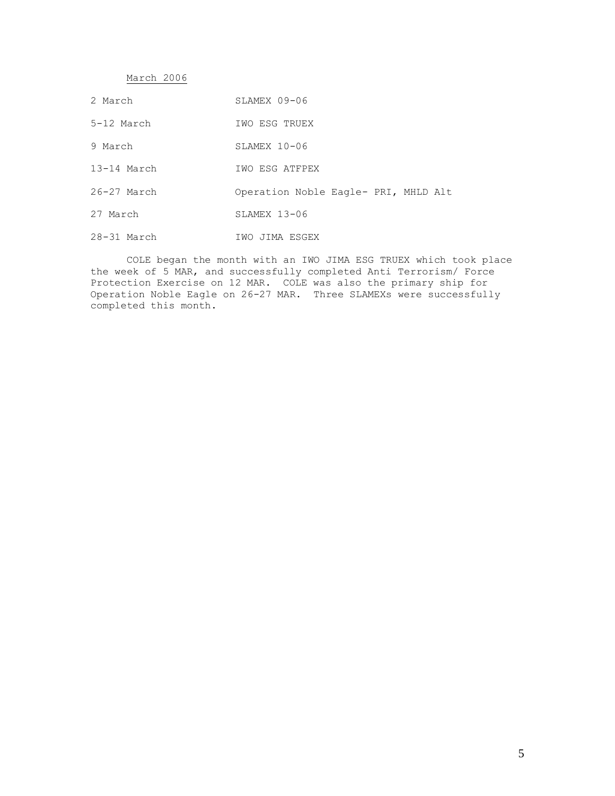March 2006

| 2 March         | SLAMEX 09-06                         |
|-----------------|--------------------------------------|
| $5-12$ March    | IWO ESG TRUEX                        |
| 9 March         | $SLAMEX$ 10-06                       |
| 13-14 March     | IWO ESG ATFPEX                       |
| $26 - 27$ March | Operation Noble Eagle- PRI, MHLD Alt |
| 27 March        | $SLAMEX$ 13-06                       |
| 28-31 March     | IWO JIMA ESGEX                       |

COLE began the month with an IWO JIMA ESG TRUEX which took place the week of 5 MAR, and successfully completed Anti Terrorism/ Force Protection Exercise on 12 MAR. COLE was also the primary ship for Operation Noble Eagle on 26-27 MAR. Three SLAMEXs were successfully completed this month.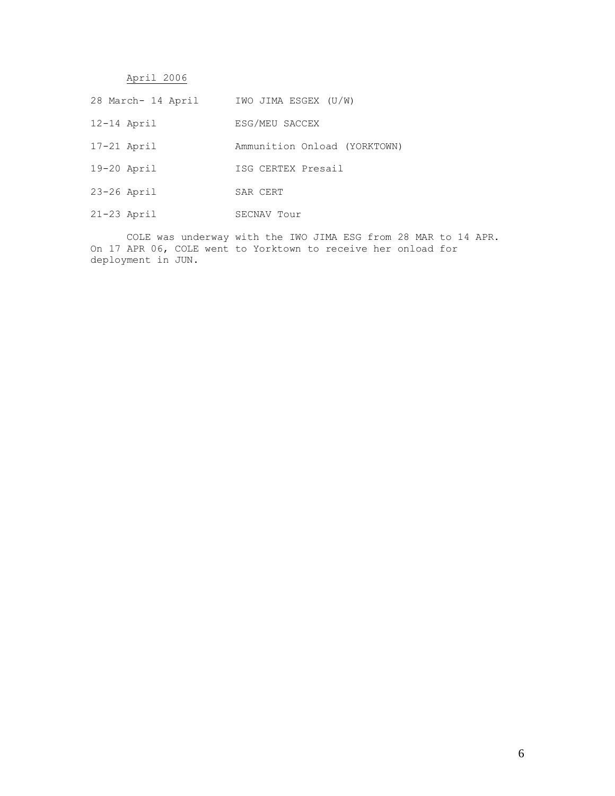April 2006

- 28 March- 14 April IWO JIMA ESGEX (U/W)
- 12-14 April ESG/MEU SACCEX
- 17-21 April Ammunition Onload (YORKTOWN)
- 19-20 April ISG CERTEX Presail
- 23-26 April SAR CERT
- 21-23 April SECNAV Tour

COLE was underway with the IWO JIMA ESG from 28 MAR to 14 APR. On 17 APR 06, COLE went to Yorktown to receive her onload for deployment in JUN.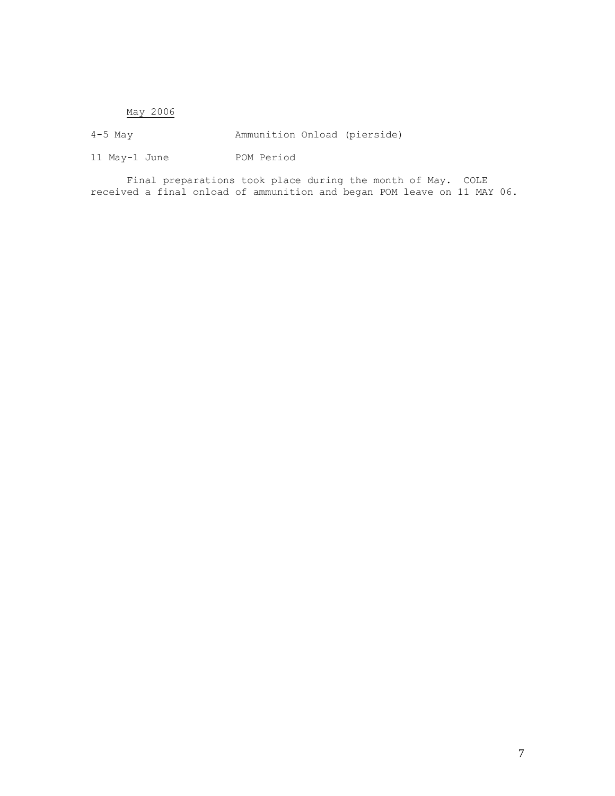## May 2006

4-5 May Ammunition Onload (pierside)

11 May-1 June POM Period

Final preparations took place during the month of May. COLE received a final onload of ammunition and began POM leave on 11 MAY 06.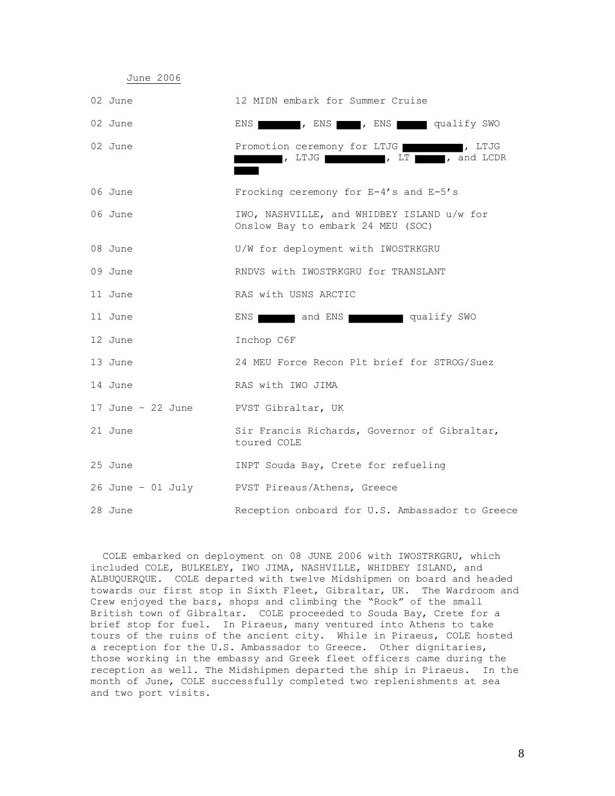| 02 June           | 12 MIDN embark for Summer Cruise                                                |
|-------------------|---------------------------------------------------------------------------------|
| 02 June           | ENS REALLY SWO WAS REALLY SWO                                                   |
| 02 June           | Promotion ceremony for LTJG 775, LTJG<br>, LTJG , LT , and LCDR                 |
| 06 June           | Frocking ceremony for $E-4's$ and $E-5's$                                       |
| 06 June           | IWO, NASHVILLE, and WHIDBEY ISLAND u/w for<br>Onslow Bay to embark 24 MEU (SOC) |
| 08 June           | U/W for deployment with IWOSTRKGRU                                              |
| 09 June           | RNDVS with IWOSTRKGRU for TRANSLANT                                             |
| 11 June           | RAS with USNS ARCTIC                                                            |
| 11 June           | and ENS qualify SWO<br>ENS 1                                                    |
| 12 June           | Inchop C6F                                                                      |
| 13 June           | 24 MEU Force Recon Plt brief for STROG/Suez                                     |
| 14 June           | RAS with IWO JIMA                                                               |
| 17 June – 22 June | PVST Gibraltar, UK                                                              |
| 21 June           | Sir Francis Richards, Governor of Gibraltar,<br>toured COLE                     |
| 25 June           | INPT Souda Bay, Crete for refueling                                             |
|                   | 26 June - 01 July PVST Pireaus/Athens, Greece                                   |
| 28 June           | Reception onboard for U.S. Ambassador to Greece                                 |

June 2006

 COLE embarked on deployment on 08 JUNE 2006 with IWOSTRKGRU, which included COLE, BULKELEY, IWO JIMA, NASHVILLE, WHIDBEY ISLAND, and ALBUQUERQUE. COLE departed with twelve Midshipmen on board and headed towards our first stop in Sixth Fleet, Gibraltar, UK. The Wardroom and Crew enjoyed the bars, shops and climbing the "Rock" of the small British town of Gibraltar. COLE proceeded to Souda Bay, Crete for a brief stop for fuel. In Piraeus, many ventured into Athens to take tours of the ruins of the ancient city. While in Piraeus, COLE hosted a reception for the U.S. Ambassador to Greece. Other dignitaries, those working in the embassy and Greek fleet officers came during the reception as well. The Midshipmen departed the ship in Piraeus. In the month of June, COLE successfully completed two replenishments at sea and two port visits.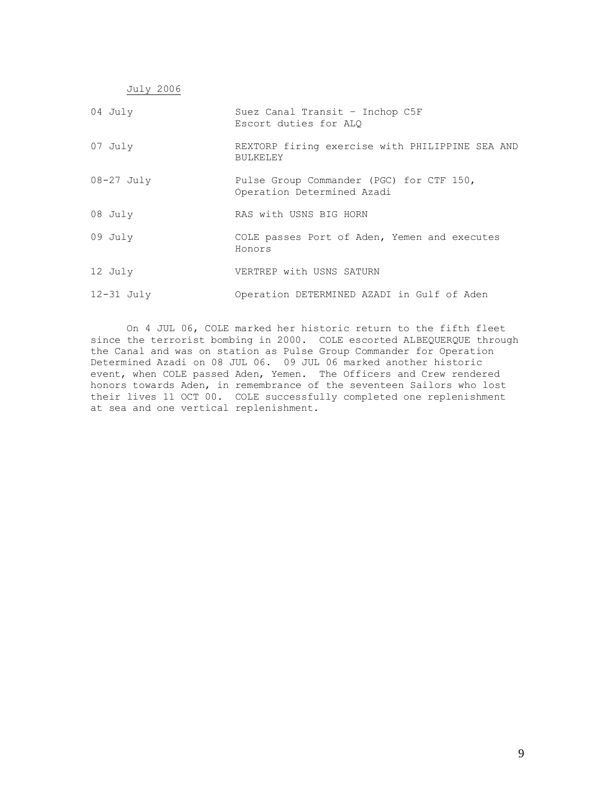| July 2006      |                                                                        |
|----------------|------------------------------------------------------------------------|
| 04 July        | Suez Canal Transit - Inchop C5F<br>Escort duties for ALO               |
| 07 July        | REXTORP firing exercise with PHILIPPINE SEA AND<br><b>BULKELEY</b>     |
| $08-27$ July   | Pulse Group Commander (PGC) for CTF 150,<br>Operation Determined Azadi |
| 08 July        | RAS with USNS BIG HORN                                                 |
| 09 July        | COLE passes Port of Aden, Yemen and executes<br>Honors                 |
| 12 July        | VERTREP with USNS SATURN                                               |
| $12 - 31$ July | Operation DETERMINED AZADI in Gulf of Aden                             |

On 4 JUL 06, COLE marked her historic return to the fifth fleet since the terrorist bombing in 2000. COLE escorted ALBEQUERQUE through the Canal and was on station as Pulse Group Commander for Operation Determined Azadi on 08 JUL 06. 09 JUL 06 marked another historic event, when COLE passed Aden, Yemen. The Officers and Crew rendered honors towards Aden, in remembrance of the seventeen Sailors who lost their lives 11 OCT 00. COLE successfully completed one replenishment at sea and one vertical replenishment.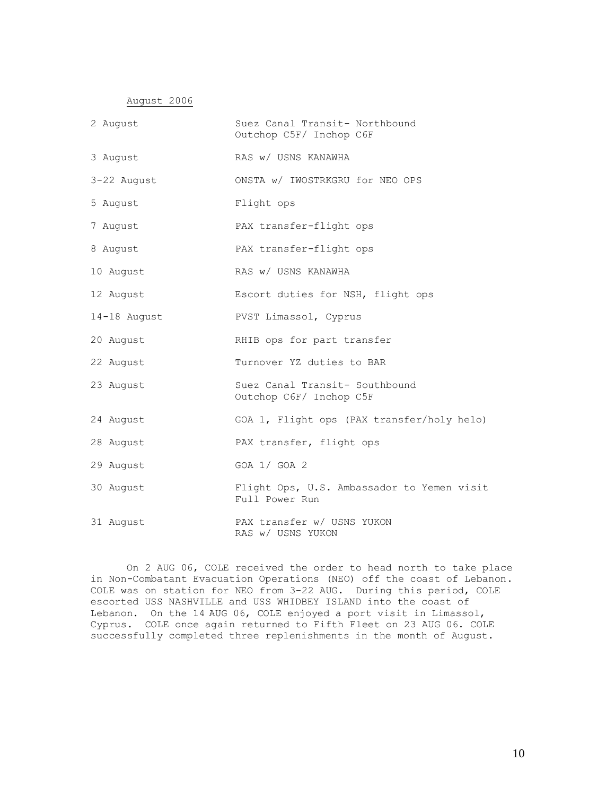August 2006

| 2 August     | Suez Canal Transit- Northbound<br>Outchop C5F/ Inchop C6F    |
|--------------|--------------------------------------------------------------|
| 3 August     | RAS w/ USNS KANAWHA                                          |
| 3-22 August  | ONSTA w/ IWOSTRKGRU for NEO OPS                              |
| 5 August     | Flight ops                                                   |
| 7 August     | PAX transfer-flight ops                                      |
| 8 August     | PAX transfer-flight ops                                      |
| 10 August    | RAS w/ USNS KANAWHA                                          |
| 12 August    | Escort duties for NSH, flight ops                            |
| 14-18 August | PVST Limassol, Cyprus                                        |
| 20 August    | RHIB ops for part transfer                                   |
| 22 August    | Turnover YZ duties to BAR                                    |
| 23 August    | Suez Canal Transit- Southbound<br>Outchop C6F/ Inchop C5F    |
| 24 August    | GOA 1, Flight ops (PAX transfer/holy helo)                   |
| 28 August    | PAX transfer, flight ops                                     |
| 29 August    | GOA 1/ GOA 2                                                 |
| 30 August    | Flight Ops, U.S. Ambassador to Yemen visit<br>Full Power Run |
| 31 August    | PAX transfer w/ USNS YUKON<br>RAS w/ USNS YUKON              |

On 2 AUG 06, COLE received the order to head north to take place in Non-Combatant Evacuation Operations (NEO) off the coast of Lebanon. COLE was on station for NEO from 3-22 AUG. During this period, COLE escorted USS NASHVILLE and USS WHIDBEY ISLAND into the coast of Lebanon. On the 14 AUG 06, COLE enjoyed a port visit in Limassol, Cyprus. COLE once again returned to Fifth Fleet on 23 AUG 06. COLE successfully completed three replenishments in the month of August.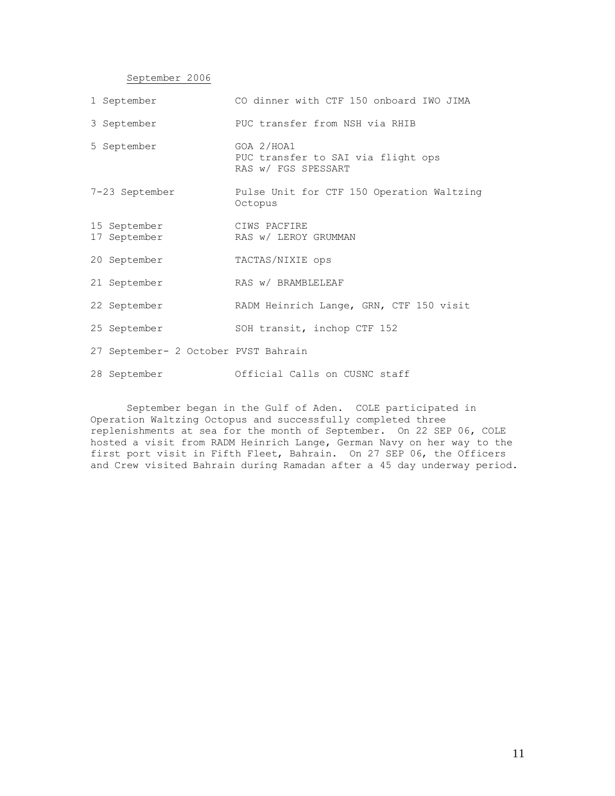September 2006

| 1 September                          | CO dinner with CTF 150 onboard IWO JIMA                                 |
|--------------------------------------|-------------------------------------------------------------------------|
| 3 September                          | PUC transfer from NSH via RHIB                                          |
| 5 September                          | GOA 2/HOA1<br>PUC transfer to SAI via flight ops<br>RAS w/ FGS SPESSART |
| 7-23 September                       | Pulse Unit for CTF 150 Operation Waltzing<br>Octopus                    |
| 15 September<br>17 September         | CIWS PACFIRE<br>RAS w/ LEROY GRUMMAN                                    |
| 20 September                         | TACTAS/NIXIE ops                                                        |
| 21 September                         | RAS w/ BRAMBLELEAF                                                      |
| 22 September                         | RADM Heinrich Lange, GRN, CTF 150 visit                                 |
| 25 September                         | SOH transit, inchop CTF 152                                             |
| 27 September- 2 October PVST Bahrain |                                                                         |

28 September Official Calls on CUSNC staff

September began in the Gulf of Aden. COLE participated in Operation Waltzing Octopus and successfully completed three replenishments at sea for the month of September. On 22 SEP 06, COLE hosted a visit from RADM Heinrich Lange, German Navy on her way to the first port visit in Fifth Fleet, Bahrain. On 27 SEP 06, the Officers and Crew visited Bahrain during Ramadan after a 45 day underway period.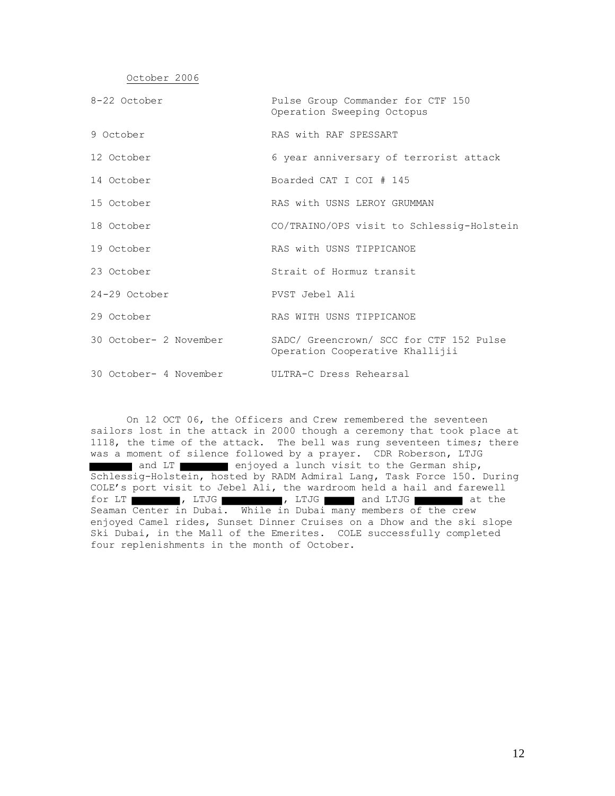October 2006

| 8-22 October | Pulse Group Commander for CTF 150 |
|--------------|-----------------------------------|
|              | Operation Sweeping Octopus        |

- 9 October RAS with RAF SPESSART
- 12 October 6 year anniversary of terrorist attack
- 14 October Boarded CAT I COI # 145
- 15 October RAS with USNS LEROY GRUMMAN
- 18 October CO/TRAINO/OPS visit to Schlessig-Holstein
- 19 October RAS with USNS TIPPICANOE
- 23 October Strait of Hormuz transit
- 24-29 October PVST Jebel Ali
- 29 October RAS WITH USNS TIPPICANOE
- 30 October- 2 November SADC/ Greencrown/ SCC for CTF 152 Pulse Operation Cooperative Khallijii
- 30 October- 4 November ULTRA-C Dress Rehearsal

On 12 OCT 06, the Officers and Crew remembered the seventeen sailors lost in the attack in 2000 though a ceremony that took place at 1118, the time of the attack. The bell was rung seventeen times; there was a moment of silence followed by a prayer. CDR Roberson, LTJG and LT enjoyed a lunch visit to the German ship, Schlessig-Holstein, hosted by RADM Admiral Lang, Task Force 150. During COLE's port visit to Jebel Ali, the wardroom held a hail and farewell for LT , LTJG , LTJG , LTJG and LTJG at the Seaman Center in Dubai. While in Dubai many members of the crew enjoyed Camel rides, Sunset Dinner Cruises on a Dhow and the ski slope Ski Dubai, in the Mall of the Emerites. COLE successfully completed four replenishments in the month of October.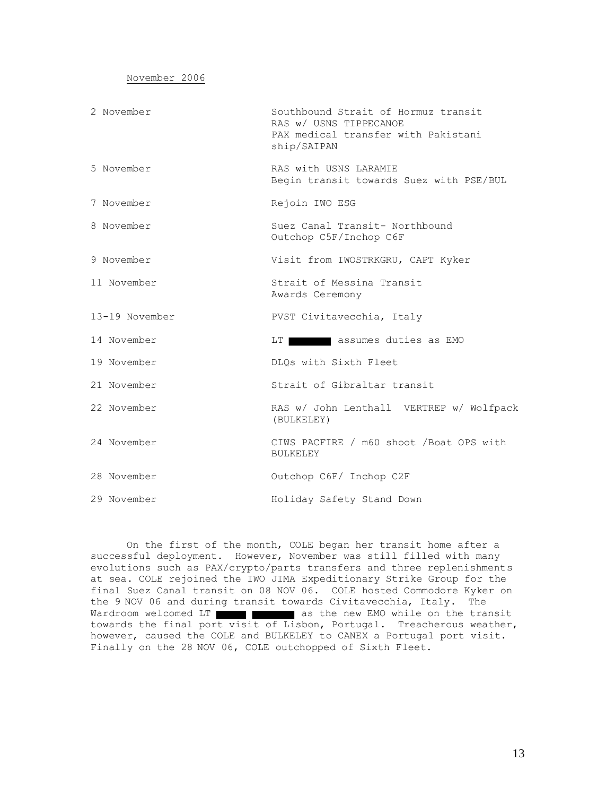| November 2006 |
|---------------|
|---------------|

| 2 November     | Southbound Strait of Hormuz transit<br>RAS w/ USNS TIPPECANOE<br>PAX medical transfer with Pakistani<br>ship/SAIPAN |
|----------------|---------------------------------------------------------------------------------------------------------------------|
| 5 November     | RAS with USNS LARAMIE<br>Begin transit towards Suez with PSE/BUL                                                    |
| 7 November     | Rejoin IWO ESG                                                                                                      |
| 8 November     | Suez Canal Transit- Northbound<br>Outchop C5F/Inchop C6F                                                            |
| 9 November     | Visit from IWOSTRKGRU, CAPT Kyker                                                                                   |
| 11 November    | Strait of Messina Transit<br>Awards Ceremony                                                                        |
| 13-19 November | PVST Civitavecchia, Italy                                                                                           |
| 14 November    | assumes duties as EMO<br>LT                                                                                         |
| 19 November    | DLQs with Sixth Fleet                                                                                               |
| 21 November    | Strait of Gibraltar transit                                                                                         |
| 22 November    | RAS w/ John Lenthall VERTREP w/ Wolfpack<br>(BULKELEY)                                                              |
| 24 November    | CIWS PACFIRE / m60 shoot /Boat OPS with<br><b>BULKELEY</b>                                                          |
| 28 November    | Outchop C6F/ Inchop C2F                                                                                             |
| 29 November    | Holiday Safety Stand Down                                                                                           |

On the first of the month, COLE began her transit home after a successful deployment. However, November was still filled with many evolutions such as PAX/crypto/parts transfers and three replenishments at sea. COLE rejoined the IWO JIMA Expeditionary Strike Group for the final Suez Canal transit on 08 NOV 06. COLE hosted Commodore Kyker on the 9 NOV 06 and during transit towards Civitavecchia, Italy. The Wardroom welcomed LT **and TEMP as the new EMO** while on the transit towards the final port visit of Lisbon, Portugal. Treacherous weather, however, caused the COLE and BULKELEY to CANEX a Portugal port visit. Finally on the 28 NOV 06, COLE outchopped of Sixth Fleet.